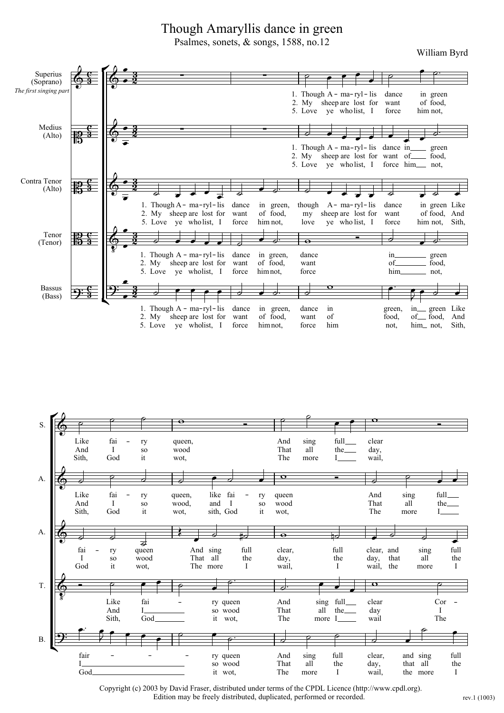## Though Amaryllis dance in green

Psalmes, sonets, & songs, 1588, no.12

William Byrd





Copyright (c) 2003 by David Fraser, distributed under terms of the CPDL Licence (http://www.cpdl.org). Edition may be freely distributed, duplicated, performed or recorded.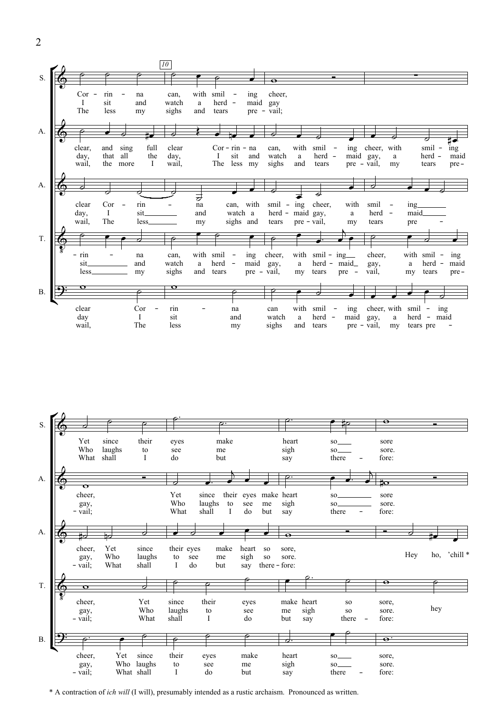



\* A contraction of *ich will* (I will), presumably intended as a rustic archaism. Pronounced as written.

2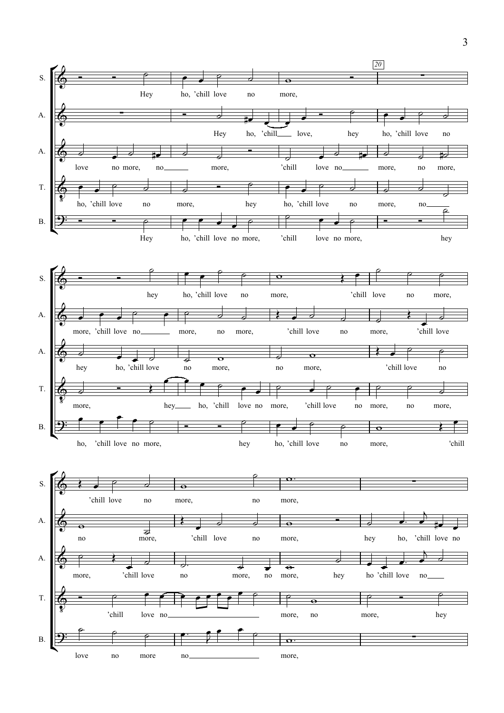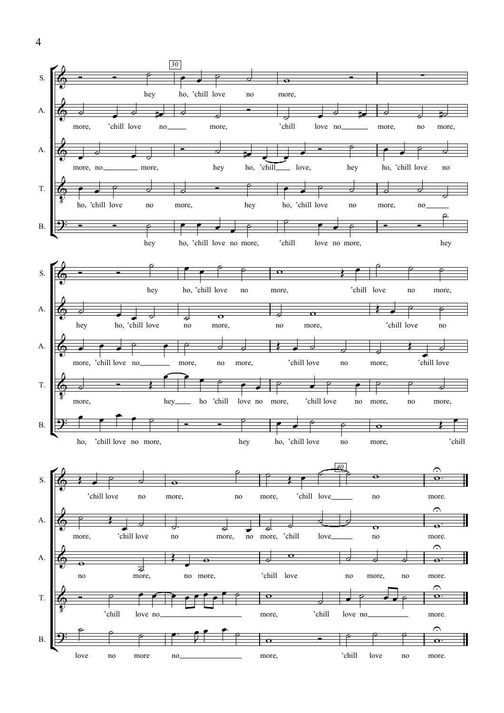

4